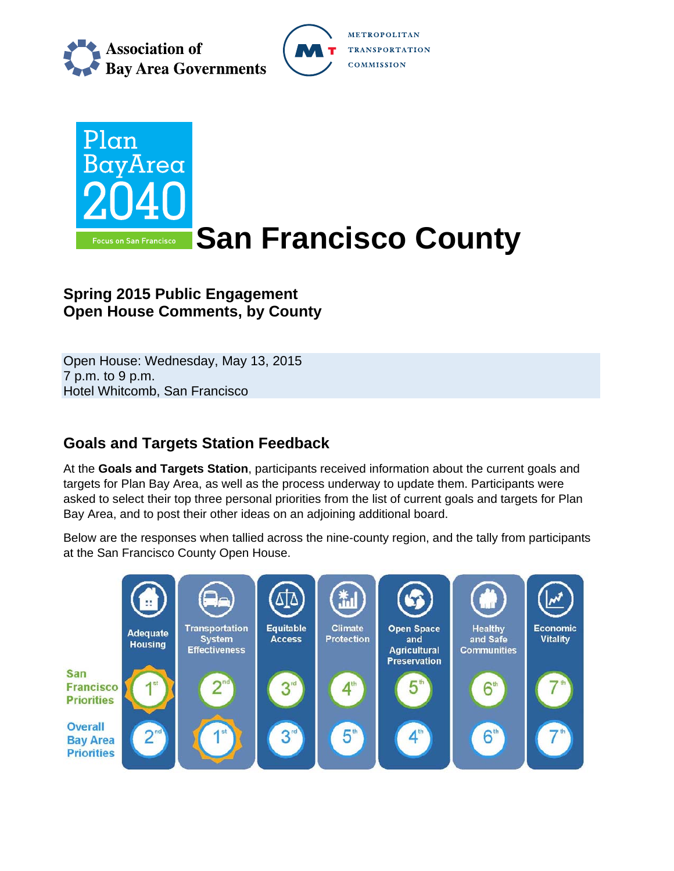

**METROPOLITAN TRANSPORTATION COMMISSION** 



# **Spring 2015 Public Engagement Open House Comments, by County**

Open House: Wednesday, May 13, 2015 7 p.m. to 9 p.m. Hotel Whitcomb, San Francisco

## **Goals and Targets Station Feedback**

At the **Goals and Targets Station**, participants received information about the current goals and targets for Plan Bay Area, as well as the process underway to update them. Participants were asked to select their top three personal priorities from the list of current goals and targets for Plan Bay Area, and to post their other ideas on an adjoining additional board.

Below are the responses when tallied across the nine-county region, and the tally from participants at the San Francisco County Open House.

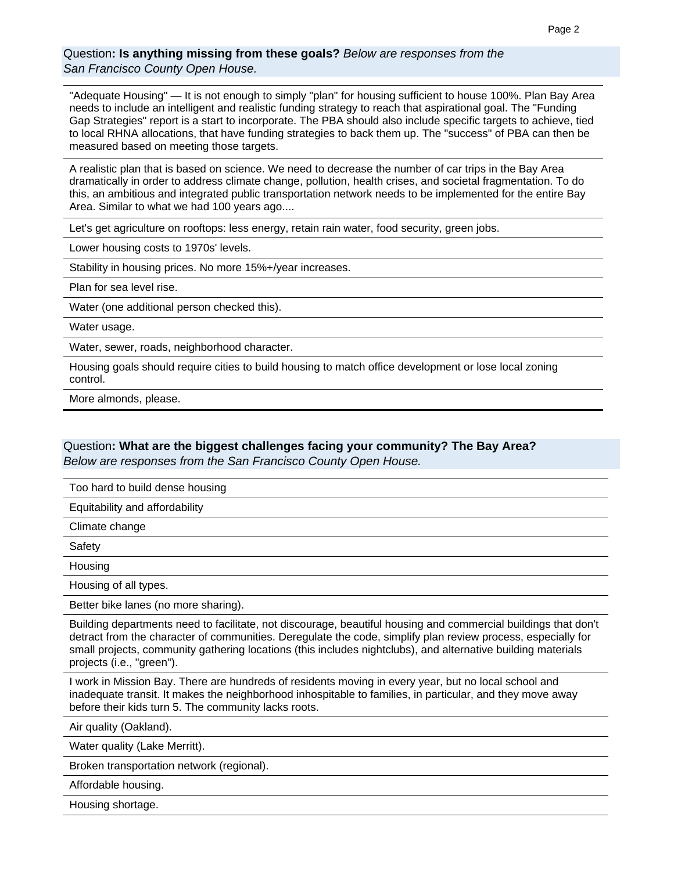### Question**: Is anything missing from these goals?** *Below are responses from the San Francisco County Open House.*

"Adequate Housing" — It is not enough to simply "plan" for housing sufficient to house 100%. Plan Bay Area needs to include an intelligent and realistic funding strategy to reach that aspirational goal. The "Funding Gap Strategies" report is a start to incorporate. The PBA should also include specific targets to achieve, tied to local RHNA allocations, that have funding strategies to back them up. The "success" of PBA can then be measured based on meeting those targets.

A realistic plan that is based on science. We need to decrease the number of car trips in the Bay Area dramatically in order to address climate change, pollution, health crises, and societal fragmentation. To do this, an ambitious and integrated public transportation network needs to be implemented for the entire Bay Area. Similar to what we had 100 years ago....

Let's get agriculture on rooftops: less energy, retain rain water, food security, green jobs.

Lower housing costs to 1970s' levels.

Stability in housing prices. No more 15%+/year increases.

Plan for sea level rise.

Water (one additional person checked this).

Water usage.

Water, sewer, roads, neighborhood character.

Housing goals should require cities to build housing to match office development or lose local zoning control.

More almonds, please.

#### Question**: What are the biggest challenges facing your community? The Bay Area?**  *Below are responses from the San Francisco County Open House.*

Too hard to build dense housing

Equitability and affordability

Climate change

Safety

Housing

Housing of all types.

Better bike lanes (no more sharing).

Building departments need to facilitate, not discourage, beautiful housing and commercial buildings that don't detract from the character of communities. Deregulate the code, simplify plan review process, especially for small projects, community gathering locations (this includes nightclubs), and alternative building materials projects (i.e., "green").

I work in Mission Bay. There are hundreds of residents moving in every year, but no local school and inadequate transit. It makes the neighborhood inhospitable to families, in particular, and they move away before their kids turn 5. The community lacks roots.

Air quality (Oakland).

Water quality (Lake Merritt).

Broken transportation network (regional).

Affordable housing.

Housing shortage.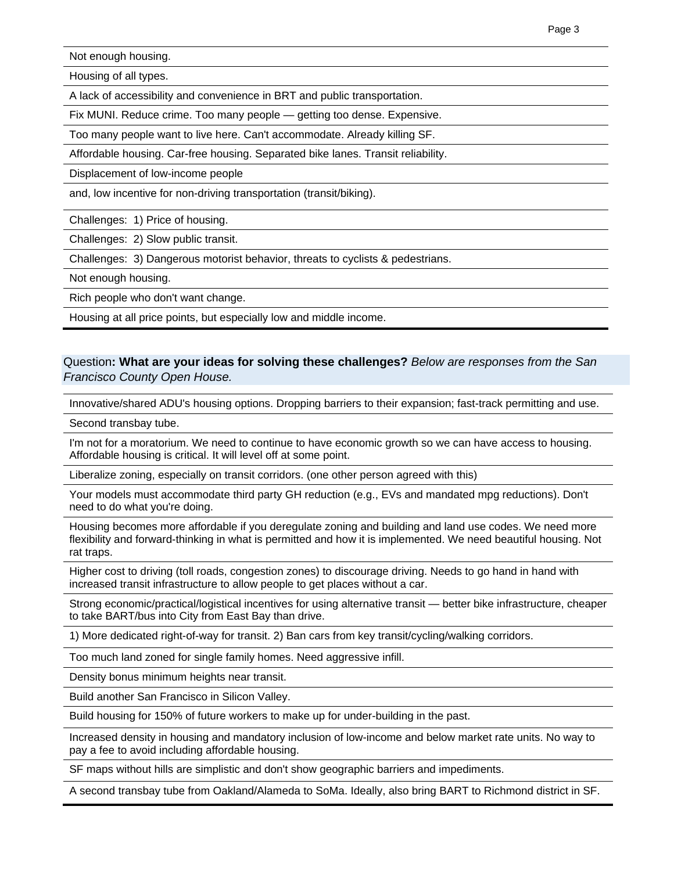Not enough housing.

Housing of all types.

A lack of accessibility and convenience in BRT and public transportation.

Fix MUNI. Reduce crime. Too many people — getting too dense. Expensive.

Too many people want to live here. Can't accommodate. Already killing SF.

Affordable housing. Car-free housing. Separated bike lanes. Transit reliability.

Displacement of low-income people

and, low incentive for non-driving transportation (transit/biking).

Challenges: 1) Price of housing.

Challenges: 2) Slow public transit.

Challenges: 3) Dangerous motorist behavior, threats to cyclists & pedestrians.

Not enough housing.

Rich people who don't want change.

Housing at all price points, but especially low and middle income.

### Question**: What are your ideas for solving these challenges?** *Below are responses from the San Francisco County Open House.*

Innovative/shared ADU's housing options. Dropping barriers to their expansion; fast-track permitting and use.

Second transbay tube.

I'm not for a moratorium. We need to continue to have economic growth so we can have access to housing. Affordable housing is critical. It will level off at some point.

Liberalize zoning, especially on transit corridors. (one other person agreed with this)

Your models must accommodate third party GH reduction (e.g., EVs and mandated mpg reductions). Don't need to do what you're doing.

Housing becomes more affordable if you deregulate zoning and building and land use codes. We need more flexibility and forward-thinking in what is permitted and how it is implemented. We need beautiful housing. Not rat traps.

Higher cost to driving (toll roads, congestion zones) to discourage driving. Needs to go hand in hand with increased transit infrastructure to allow people to get places without a car.

Strong economic/practical/logistical incentives for using alternative transit — better bike infrastructure, cheaper to take BART/bus into City from East Bay than drive.

1) More dedicated right-of-way for transit. 2) Ban cars from key transit/cycling/walking corridors.

Too much land zoned for single family homes. Need aggressive infill.

Density bonus minimum heights near transit.

Build another San Francisco in Silicon Valley.

Build housing for 150% of future workers to make up for under-building in the past.

Increased density in housing and mandatory inclusion of low-income and below market rate units. No way to pay a fee to avoid including affordable housing.

SF maps without hills are simplistic and don't show geographic barriers and impediments.

A second transbay tube from Oakland/Alameda to SoMa. Ideally, also bring BART to Richmond district in SF.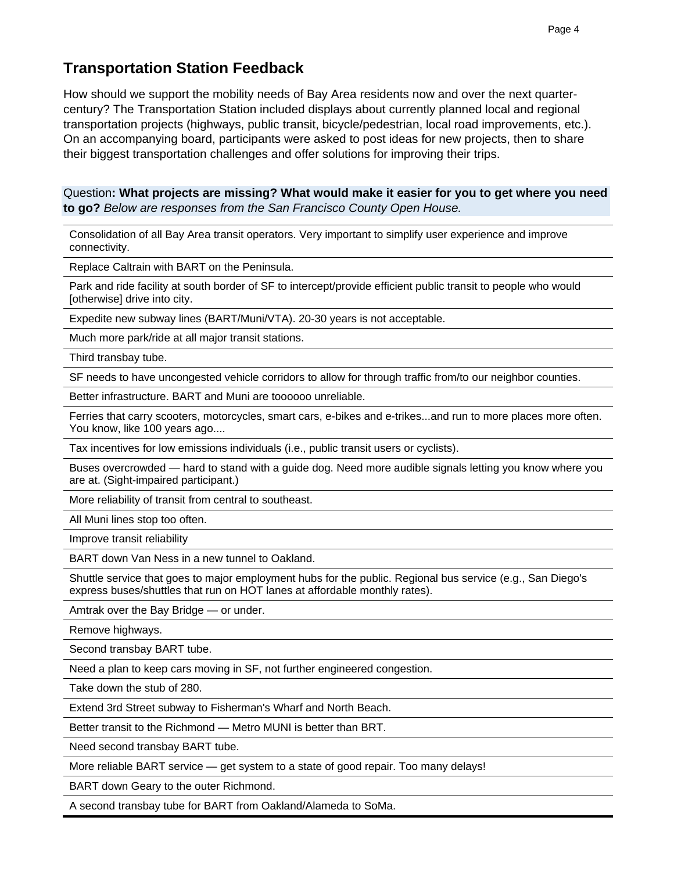# **Transportation Station Feedback**

How should we support the mobility needs of Bay Area residents now and over the next quartercentury? The Transportation Station included displays about currently planned local and regional transportation projects (highways, public transit, bicycle/pedestrian, local road improvements, etc.). On an accompanying board, participants were asked to post ideas for new projects, then to share their biggest transportation challenges and offer solutions for improving their trips.

Question**: What projects are missing? What would make it easier for you to get where you need to go?** *Below are responses from the San Francisco County Open House.*

Consolidation of all Bay Area transit operators. Very important to simplify user experience and improve connectivity.

Replace Caltrain with BART on the Peninsula.

Park and ride facility at south border of SF to intercept/provide efficient public transit to people who would [otherwise] drive into city.

Expedite new subway lines (BART/Muni/VTA). 20-30 years is not acceptable.

Much more park/ride at all major transit stations.

Third transbay tube.

SF needs to have uncongested vehicle corridors to allow for through traffic from/to our neighbor counties.

Better infrastructure. BART and Muni are toooooo unreliable.

Ferries that carry scooters, motorcycles, smart cars, e-bikes and e-trikes...and run to more places more often. You know, like 100 years ago....

Tax incentives for low emissions individuals (i.e., public transit users or cyclists).

Buses overcrowded — hard to stand with a guide dog. Need more audible signals letting you know where you are at. (Sight-impaired participant.)

More reliability of transit from central to southeast.

All Muni lines stop too often.

Improve transit reliability

BART down Van Ness in a new tunnel to Oakland.

Shuttle service that goes to major employment hubs for the public. Regional bus service (e.g., San Diego's express buses/shuttles that run on HOT lanes at affordable monthly rates).

Amtrak over the Bay Bridge — or under.

Remove highways.

Second transbay BART tube.

Need a plan to keep cars moving in SF, not further engineered congestion.

Take down the stub of 280.

Extend 3rd Street subway to Fisherman's Wharf and North Beach.

Better transit to the Richmond — Metro MUNI is better than BRT.

Need second transbay BART tube.

More reliable BART service — get system to a state of good repair. Too many delays!

BART down Geary to the outer Richmond.

A second transbay tube for BART from Oakland/Alameda to SoMa.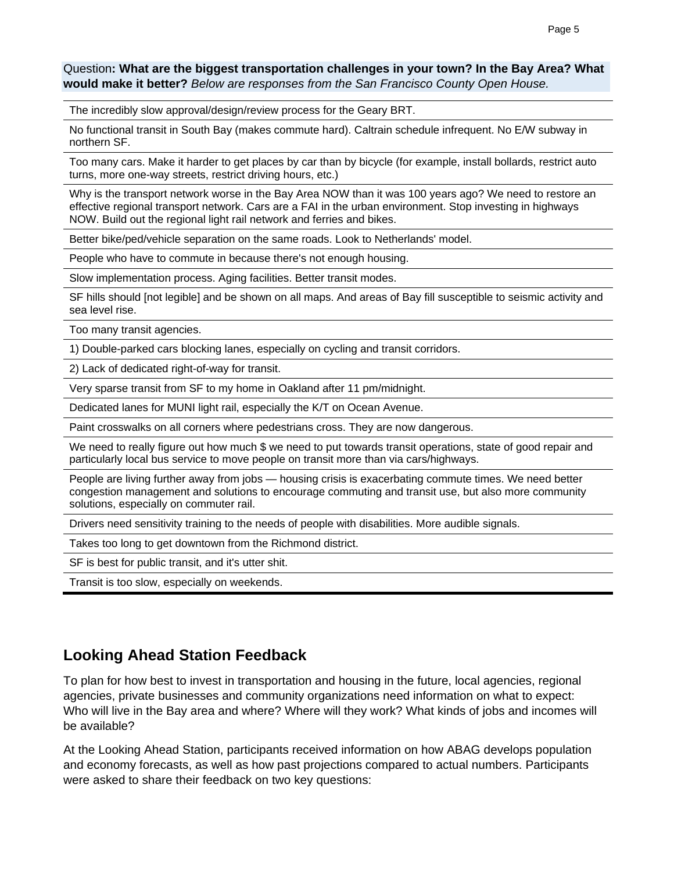Question**: What are the biggest transportation challenges in your town? In the Bay Area? What would make it better?** *Below are responses from the San Francisco County Open House.*

The incredibly slow approval/design/review process for the Geary BRT.

No functional transit in South Bay (makes commute hard). Caltrain schedule infrequent. No E/W subway in northern SF.

Too many cars. Make it harder to get places by car than by bicycle (for example, install bollards, restrict auto turns, more one-way streets, restrict driving hours, etc.)

Why is the transport network worse in the Bay Area NOW than it was 100 years ago? We need to restore an effective regional transport network. Cars are a FAI in the urban environment. Stop investing in highways NOW. Build out the regional light rail network and ferries and bikes.

Better bike/ped/vehicle separation on the same roads. Look to Netherlands' model.

People who have to commute in because there's not enough housing.

Slow implementation process. Aging facilities. Better transit modes.

SF hills should [not legible] and be shown on all maps. And areas of Bay fill susceptible to seismic activity and sea level rise.

Too many transit agencies.

1) Double-parked cars blocking lanes, especially on cycling and transit corridors.

2) Lack of dedicated right-of-way for transit.

Very sparse transit from SF to my home in Oakland after 11 pm/midnight.

Dedicated lanes for MUNI light rail, especially the K/T on Ocean Avenue.

Paint crosswalks on all corners where pedestrians cross. They are now dangerous.

We need to really figure out how much \$ we need to put towards transit operations, state of good repair and particularly local bus service to move people on transit more than via cars/highways.

People are living further away from jobs — housing crisis is exacerbating commute times. We need better congestion management and solutions to encourage commuting and transit use, but also more community solutions, especially on commuter rail.

Drivers need sensitivity training to the needs of people with disabilities. More audible signals.

Takes too long to get downtown from the Richmond district.

SF is best for public transit, and it's utter shit.

Transit is too slow, especially on weekends.

### **Looking Ahead Station Feedback**

To plan for how best to invest in transportation and housing in the future, local agencies, regional agencies, private businesses and community organizations need information on what to expect: Who will live in the Bay area and where? Where will they work? What kinds of jobs and incomes will be available?

At the Looking Ahead Station, participants received information on how ABAG develops population and economy forecasts, as well as how past projections compared to actual numbers. Participants were asked to share their feedback on two key questions: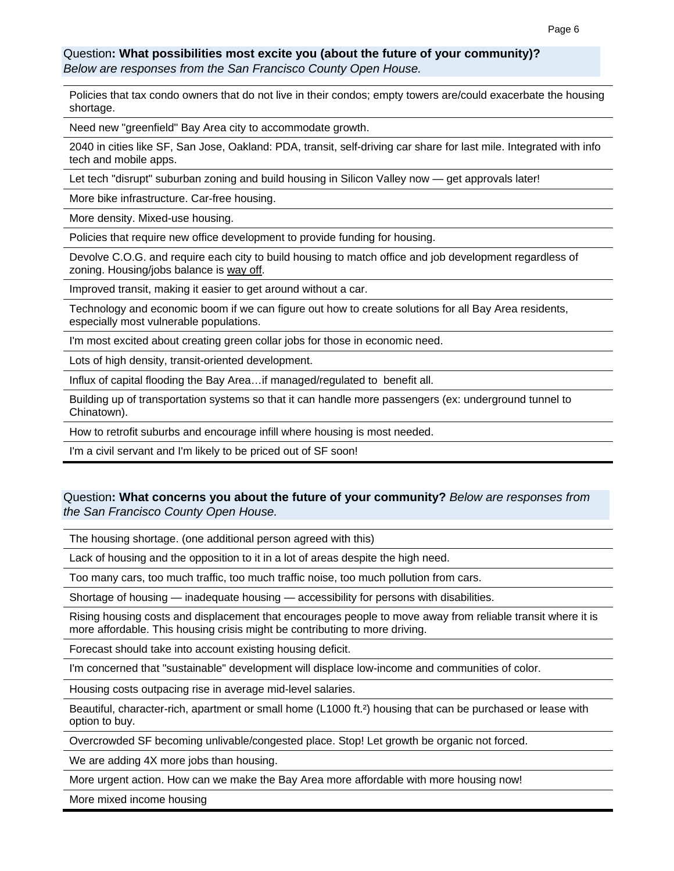### Question**: What possibilities most excite you (about the future of your community)?**  *Below are responses from the San Francisco County Open House.*

Policies that tax condo owners that do not live in their condos; empty towers are/could exacerbate the housing shortage.

Need new "greenfield" Bay Area city to accommodate growth.

2040 in cities like SF, San Jose, Oakland: PDA, transit, self-driving car share for last mile. Integrated with info tech and mobile apps.

Let tech "disrupt" suburban zoning and build housing in Silicon Valley now — get approvals later!

More bike infrastructure. Car-free housing.

More density. Mixed-use housing.

Policies that require new office development to provide funding for housing.

Devolve C.O.G. and require each city to build housing to match office and job development regardless of zoning. Housing/jobs balance is way off.

Improved transit, making it easier to get around without a car.

Technology and economic boom if we can figure out how to create solutions for all Bay Area residents, especially most vulnerable populations.

I'm most excited about creating green collar jobs for those in economic need.

Lots of high density, transit-oriented development.

Influx of capital flooding the Bay Area…if managed/regulated to benefit all.

Building up of transportation systems so that it can handle more passengers (ex: underground tunnel to Chinatown).

How to retrofit suburbs and encourage infill where housing is most needed.

I'm a civil servant and I'm likely to be priced out of SF soon!

### Question**: What concerns you about the future of your community?** *Below are responses from the San Francisco County Open House.*

The housing shortage. (one additional person agreed with this)

Lack of housing and the opposition to it in a lot of areas despite the high need.

Too many cars, too much traffic, too much traffic noise, too much pollution from cars.

Shortage of housing — inadequate housing — accessibility for persons with disabilities.

Rising housing costs and displacement that encourages people to move away from reliable transit where it is more affordable. This housing crisis might be contributing to more driving.

Forecast should take into account existing housing deficit.

I'm concerned that "sustainable" development will displace low-income and communities of color.

Housing costs outpacing rise in average mid-level salaries.

Beautiful, character-rich, apartment or small home (L1000 ft.²) housing that can be purchased or lease with option to buy.

Overcrowded SF becoming unlivable/congested place. Stop! Let growth be organic not forced.

We are adding 4X more jobs than housing.

More urgent action. How can we make the Bay Area more affordable with more housing now!

More mixed income housing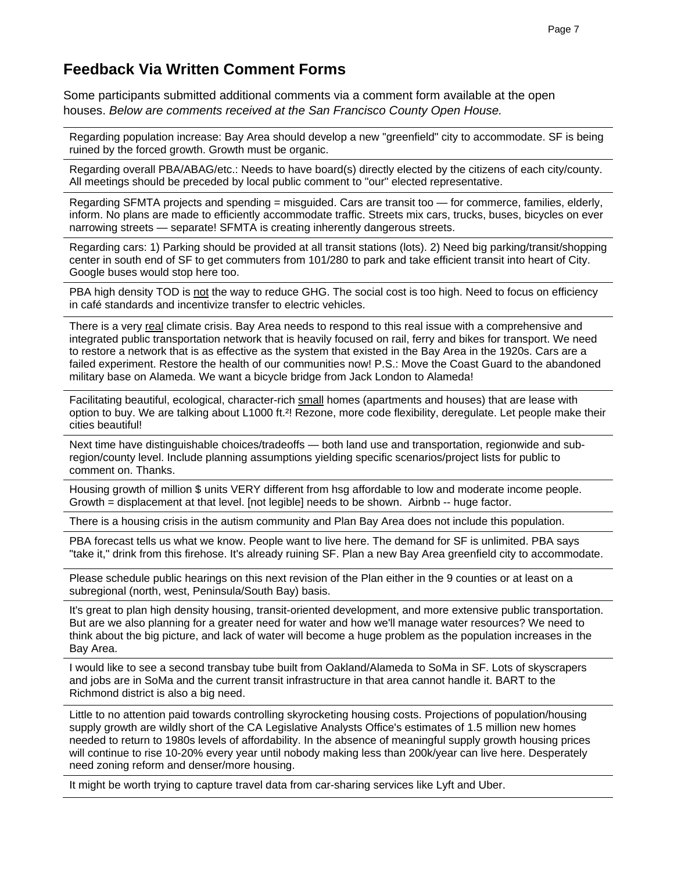### **Feedback Via Written Comment Forms**

Some participants submitted additional comments via a comment form available at the open houses. *Below are comments received at the San Francisco County Open House.* 

Regarding population increase: Bay Area should develop a new "greenfield" city to accommodate. SF is being ruined by the forced growth. Growth must be organic.

Regarding overall PBA/ABAG/etc.: Needs to have board(s) directly elected by the citizens of each city/county. All meetings should be preceded by local public comment to "our" elected representative.

Regarding SFMTA projects and spending = misguided. Cars are transit too — for commerce, families, elderly, inform. No plans are made to efficiently accommodate traffic. Streets mix cars, trucks, buses, bicycles on ever narrowing streets — separate! SFMTA is creating inherently dangerous streets.

Regarding cars: 1) Parking should be provided at all transit stations (lots). 2) Need big parking/transit/shopping center in south end of SF to get commuters from 101/280 to park and take efficient transit into heart of City. Google buses would stop here too.

PBA high density TOD is not the way to reduce GHG. The social cost is too high. Need to focus on efficiency in café standards and incentivize transfer to electric vehicles.

There is a very real climate crisis. Bay Area needs to respond to this real issue with a comprehensive and integrated public transportation network that is heavily focused on rail, ferry and bikes for transport. We need to restore a network that is as effective as the system that existed in the Bay Area in the 1920s. Cars are a failed experiment. Restore the health of our communities now! P.S.: Move the Coast Guard to the abandoned military base on Alameda. We want a bicycle bridge from Jack London to Alameda!

Facilitating beautiful, ecological, character-rich small homes (apartments and houses) that are lease with option to buy. We are talking about L1000 ft.²! Rezone, more code flexibility, deregulate. Let people make their cities beautiful!

Next time have distinguishable choices/tradeoffs - both land use and transportation, regionwide and subregion/county level. Include planning assumptions yielding specific scenarios/project lists for public to comment on. Thanks.

Housing growth of million \$ units VERY different from hsg affordable to low and moderate income people. Growth = displacement at that level. [not legible] needs to be shown. Airbnb -- huge factor.

There is a housing crisis in the autism community and Plan Bay Area does not include this population.

PBA forecast tells us what we know. People want to live here. The demand for SF is unlimited. PBA says "take it," drink from this firehose. It's already ruining SF. Plan a new Bay Area greenfield city to accommodate.

Please schedule public hearings on this next revision of the Plan either in the 9 counties or at least on a subregional (north, west, Peninsula/South Bay) basis.

It's great to plan high density housing, transit-oriented development, and more extensive public transportation. But are we also planning for a greater need for water and how we'll manage water resources? We need to think about the big picture, and lack of water will become a huge problem as the population increases in the Bay Area.

I would like to see a second transbay tube built from Oakland/Alameda to SoMa in SF. Lots of skyscrapers and jobs are in SoMa and the current transit infrastructure in that area cannot handle it. BART to the Richmond district is also a big need.

Little to no attention paid towards controlling skyrocketing housing costs. Projections of population/housing supply growth are wildly short of the CA Legislative Analysts Office's estimates of 1.5 million new homes needed to return to 1980s levels of affordability. In the absence of meaningful supply growth housing prices will continue to rise 10-20% every year until nobody making less than 200k/year can live here. Desperately need zoning reform and denser/more housing.

It might be worth trying to capture travel data from car-sharing services like Lyft and Uber.